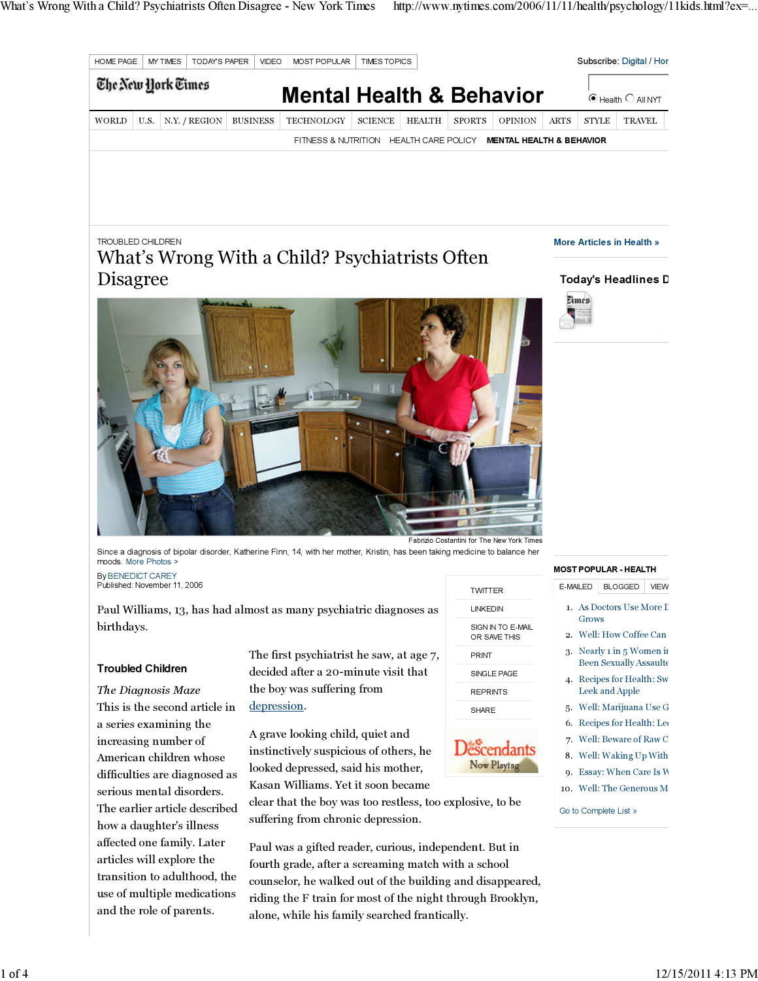

# TROUBLED CHILDREN

# What's Wrong With a Child? Psychiatrists Often Disagree



More Articles in Health »

## Today's Headlines D



Since a diagnosis of bipolar disorder, Katherine Finn, 14, with her mother, Kristin, has been taking medicine to balance her moods. More Photos

By BENEDICT CAREY Published: November 11, 2006

Paul Williams, 13, has had almost as many psychiatric diagnoses as birthdays.

## Troubled Children

The Diagnosis Maze This is the second article in a series examining the increasing number of American children whose difficulties are diagnosed as serious mental disorders. The earlier article described how a daughter's illness affected one family. Later articles will explore the transition to adulthood, the use of multiple medications and the role of parents.

The first psychiatrist he saw, at age 7, decided after a 20-minute visit that the boy was suffering from depression.

A grave looking child, quiet and instinctively suspicious of others, he looked depressed, said his mother, Kasan Williams. Yet it soon became

clear that the boy was too restless, too explosive, to be suffering from chronic depression.

Paul was a gifted reader, curious, independent. But in fourth grade, after a screaming match with a school counselor, he walked out of the building and disappeared, riding the F train for most of the night through Brooklyn, alone, while his family searched frantically.

| <b>TWITTER</b>                    |
|-----------------------------------|
| I INKEDIN                         |
| SIGN IN TO E-MAIL<br>OR SAVE THIS |
| PRINT                             |
| SINGLE PAGE                       |
| <b>REPRINTS</b>                   |
| <b>SHARE</b>                      |

# **Descendants** Now Playing

#### MOST POPULAR - HEALTH

- E-MAILED BLOGGED VIEW
- 1. As Doctors Use More I Grows
- 2. Well: How Coffee Can
- 3. Nearly  $1$  in  $5$  Women in Been Sexually Assaulte
- 4. Recipes for Health: Sw Leek and Apple
- 5. Well: Marijuana Use G
- 6. Recipes for Health: Lee
- 7. Well: Beware of Raw C
- 8. Well: Waking Up With
- 9. Essay: When Care Is W
- 10. Well: The Generous M

Go to Complete List »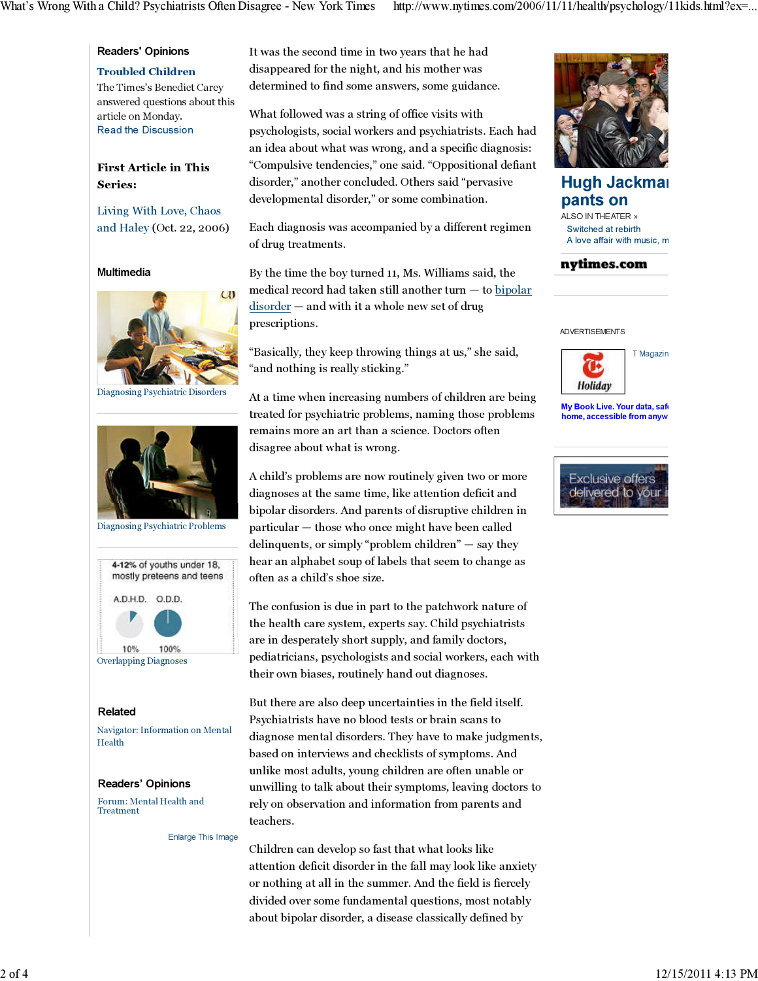## Readers' Opinions

# Troubled Children

The Times's Benedict Carey answered questions about this article on Monday. Read the Discussion

# First Article in This Series:

Living With Love, Chaos and Haley (Oct. 22, 2006)

### Multimedia



Diagnosing Psychiatric Disorders



Diagnosing Psychiatric Problems



#### Related

Navigator: Information on Mental Health

#### Readers' Opinions

Forum: Mental Health and Treatment

Enlarge This Image

It was the second time in two years that he had disappeared for the night, and his mother was determined to find some answers, some guidance.

What followed was a string of office visits with psychologists, social workers and psychiatrists. Each had an idea about what was wrong, and a specific diagnosis: "Compulsive tendencies," one said. "Oppositional defiant disorder," another concluded. Others said "pervasive developmental disorder," or some combination.

Each diagnosis was accompanied by a different regimen of drug treatments.

By the time the boy turned 11, Ms. Williams said, the medical record had taken still another turn — to bipolar disorder – and with it a whole new set of drug prescriptions.

"Basically, they keep throwing things at us," she said, "and nothing is really sticking."

At a time when increasing numbers of children are being treated for psychiatric problems, naming those problems remains more an art than a science. Doctors often disagree about what is wrong.

A child's problems are now routinely given two or more diagnoses at the same time, like attention deficit and bipolar disorders. And parents of disruptive children in particular — those who once might have been called delinquents, or simply "problem children" — say they hear an alphabet soup of labels that seem to change as often as a child's shoe size.

The confusion is due in part to the patchwork nature of the health care system, experts say. Child psychiatrists are in desperately short supply, and family doctors, pediatricians, psychologists and social workers, each with their own biases, routinely hand out diagnoses.

But there are also deep uncertainties in the field itself. Psychiatrists have no blood tests or brain scans to diagnose mental disorders. They have to make judgments, based on interviews and checklists of symptoms. And unlike most adults, young children are often unable or unwilling to talk about their symptoms, leaving doctors to rely on observation and information from parents and teachers.

Children can develop so fast that what looks like attention deficit disorder in the fall may look like anxiety or nothing at all in the summer. And the field is fiercely divided over some fundamental questions, most notably about bipolar disorder, a disease classically defined by



Hugh Jackman pants on ALSO IN THEATER »

Switched at rebirth A love affair with music, m

### nytimes.com

ADVERTISEMENTS



My Book Live. Your data, safe home, accessible from anyw

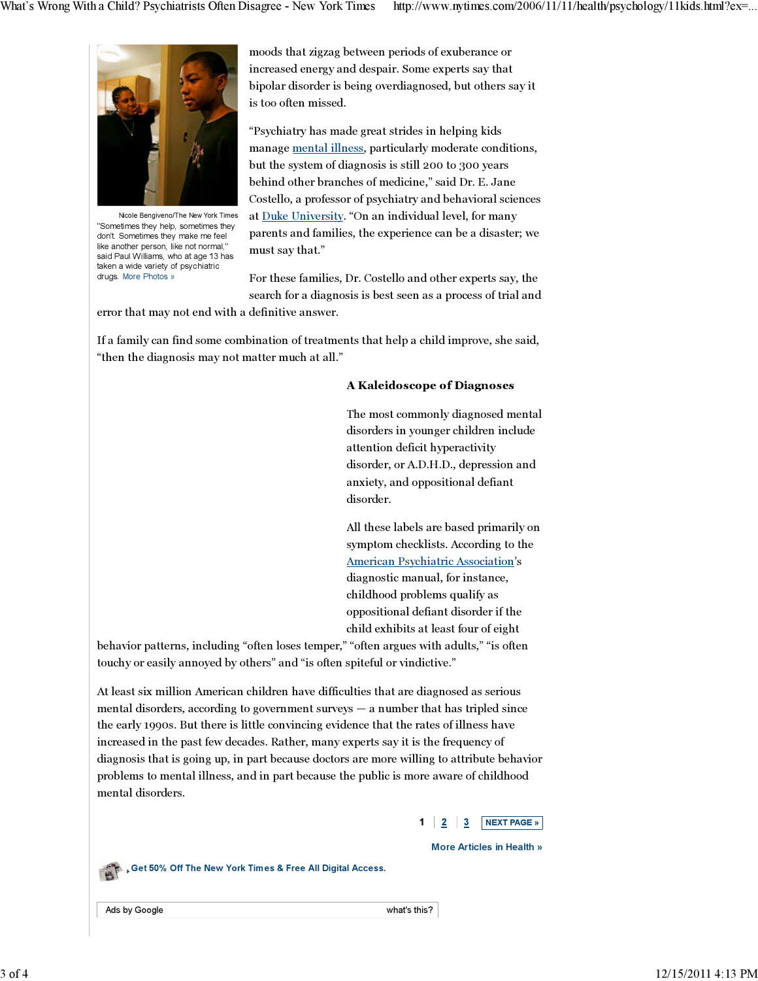

Nicole Bengiveno/The New York Times "Sometimes they help, sometimes they don't. Sometimes they make me feel like another person, like not normal, said Paul Williams, who at age 13 has taken a wide variety of psychiatric drugs. More Photos »

moods that zigzag between periods of exuberance or increased energy and despair. Some experts say that bipolar disorder is being overdiagnosed, but others say it is too often missed.

"Psychiatry has made great strides in helping kids manage mental illness, particularly moderate conditions, but the system of diagnosis is still 200 to 300 years behind other branches of medicine," said Dr. E. Jane Costello, a professor of psychiatry and behavioral sciences at Duke University. "On an individual level, for many parents and families, the experience can be a disaster; we must say that."

For these families, Dr. Costello and other experts say, the search for a diagnosis is best seen as a process of trial and

error that may not end with a definitive answer.

If a family can find some combination of treatments that help a child improve, she said, "then the diagnosis may not matter much at all."

## A Kaleidoscope of Diagnoses

The most commonly diagnosed mental disorders in younger children include attention deficit hyperactivity disorder, or A.D.H.D., depression and anxiety, and oppositional defiant disorder.

All these labels are based primarily on symptom checklists. According to the American Psychiatric Association's diagnostic manual, for instance, childhood problems qualify as oppositional defiant disorder if the child exhibits at least four of eight

behavior patterns, including "often loses temper," "often argues with adults," "is often touchy or easily annoyed by others" and "is often spiteful or vindictive."

At least six million American children have difficulties that are diagnosed as serious mental disorders, according to government surveys — a number that has tripled since the early 1990s. But there is little convincing evidence that the rates of illness have increased in the past few decades. Rather, many experts say it is the frequency of diagnosis that is going up, in part because doctors are more willing to attribute behavior problems to mental illness, and in part because the public is more aware of childhood mental disorders.



More Articles in Health »



Get 50% Off The New York Times & Free All Digital Access.

Ads by Google what's this?